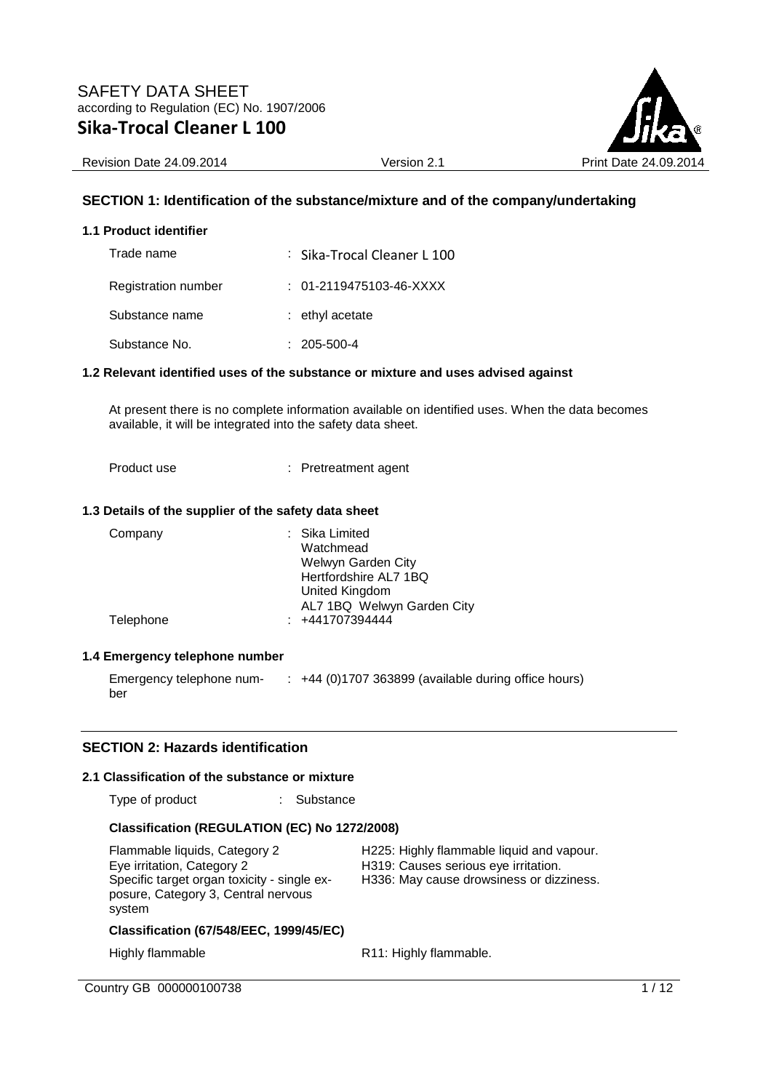

Revision Date 24.09.2014 Version 2.1 Version 2.1 Print Date 24

## **SECTION 1: Identification of the substance/mixture and of the company/undertaking**

#### **1.1 Product identifier**

| Trade name                 | : Sika-Trocal Cleaner L 100 |
|----------------------------|-----------------------------|
| <b>Registration number</b> | $: 01-2119475103-46-XXXX$   |
| Substance name             | $:$ ethyl acetate           |
| Substance No.              | $: 205 - 500 - 4$           |

#### **1.2 Relevant identified uses of the substance or mixture and uses advised against**

At present there is no complete information available on identified uses. When the data becomes available, it will be integrated into the safety data sheet.

Product use : Pretreatment agent

#### **1.3 Details of the supplier of the safety data sheet**

| Company   | : Sika Limited<br>Watchmead<br>Welwyn Garden City<br>Hertfordshire AL7 1BQ<br>United Kingdom |
|-----------|----------------------------------------------------------------------------------------------|
| Telephone | AL7 1BQ Welwyn Garden City<br>$: +441707394444$                                              |

#### **1.4 Emergency telephone number**

Emergency telephone number : +44 (0)1707 363899 (available during office hours)

### **SECTION 2: Hazards identification**

#### **2.1 Classification of the substance or mixture**

Type of product : Substance

## **Classification (REGULATION (EC) No 1272/2008)**

Flammable liquids, Category 2 H225: Highly flammable liquid and vapour. Eye irritation, Category 2 H319: Causes serious eye irritation. Specific target organ toxicity - single exposure, Category 3, Central nervous system

H336: May cause drowsiness or dizziness.

### **Classification (67/548/EEC, 1999/45/EC)**

Highly flammable R11: Highly flammable.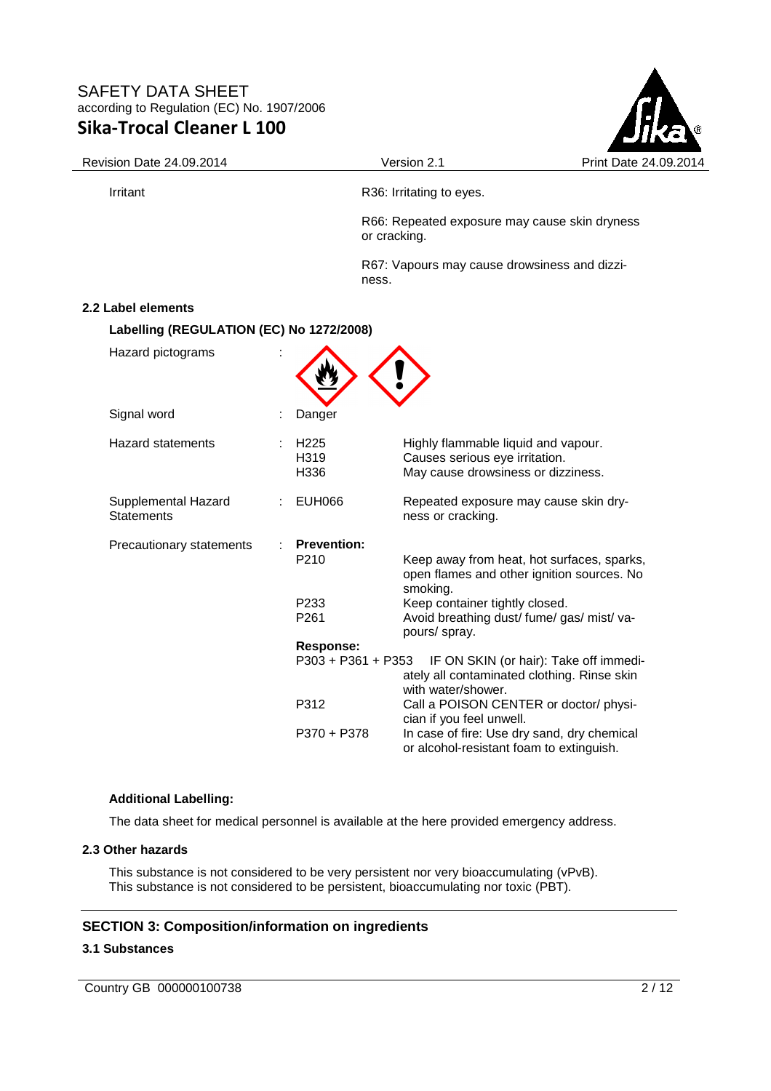

Revision Date 24.09.2014 <br>
Version 2.1 Print Date 24.09.2014

Irritant **R36:** Irritating to eyes.

R66: Repeated exposure may cause skin dryness or cracking.

R67: Vapours may cause drowsiness and dizziness.

### **2.2 Label elements**

**Labelling (REGULATION (EC) No 1272/2008)** 

| Hazard pictograms                        |                                    |                                                            |                                                                                                                                        |
|------------------------------------------|------------------------------------|------------------------------------------------------------|----------------------------------------------------------------------------------------------------------------------------------------|
| Signal word                              |                                    | Danger                                                     |                                                                                                                                        |
| <b>Hazard statements</b>                 |                                    | H <sub>225</sub><br>H <sub>3</sub> 19<br>H336              | Highly flammable liquid and vapour.<br>Causes serious eye irritation.<br>May cause drowsiness or dizziness.                            |
| Supplemental Hazard<br><b>Statements</b> | <b>EUH066</b><br>ness or cracking. |                                                            | Repeated exposure may cause skin dry-                                                                                                  |
| Precautionary statements                 |                                    | <b>Prevention:</b><br>P <sub>210</sub><br>P <sub>233</sub> | Keep away from heat, hot surfaces, sparks,<br>open flames and other ignition sources. No<br>smoking.<br>Keep container tightly closed. |
|                                          |                                    | P261                                                       | Avoid breathing dust/ fume/ gas/ mist/ va-<br>pours/ spray.                                                                            |
|                                          |                                    | <b>Response:</b><br>P303 + P361 + P353                     | IF ON SKIN (or hair): Take off immedi-<br>ately all contaminated clothing. Rinse skin<br>with water/shower.                            |
|                                          |                                    | P312                                                       | Call a POISON CENTER or doctor/ physi-<br>cian if you feel unwell.                                                                     |
|                                          |                                    | P370 + P378                                                | In case of fire: Use dry sand, dry chemical<br>or alcohol-resistant foam to extinguish.                                                |

#### **Additional Labelling:**

The data sheet for medical personnel is available at the here provided emergency address.

## **2.3 Other hazards**

This substance is not considered to be very persistent nor very bioaccumulating (vPvB). This substance is not considered to be persistent, bioaccumulating nor toxic (PBT).

# **SECTION 3: Composition/information on ingredients**

## **3.1 Substances**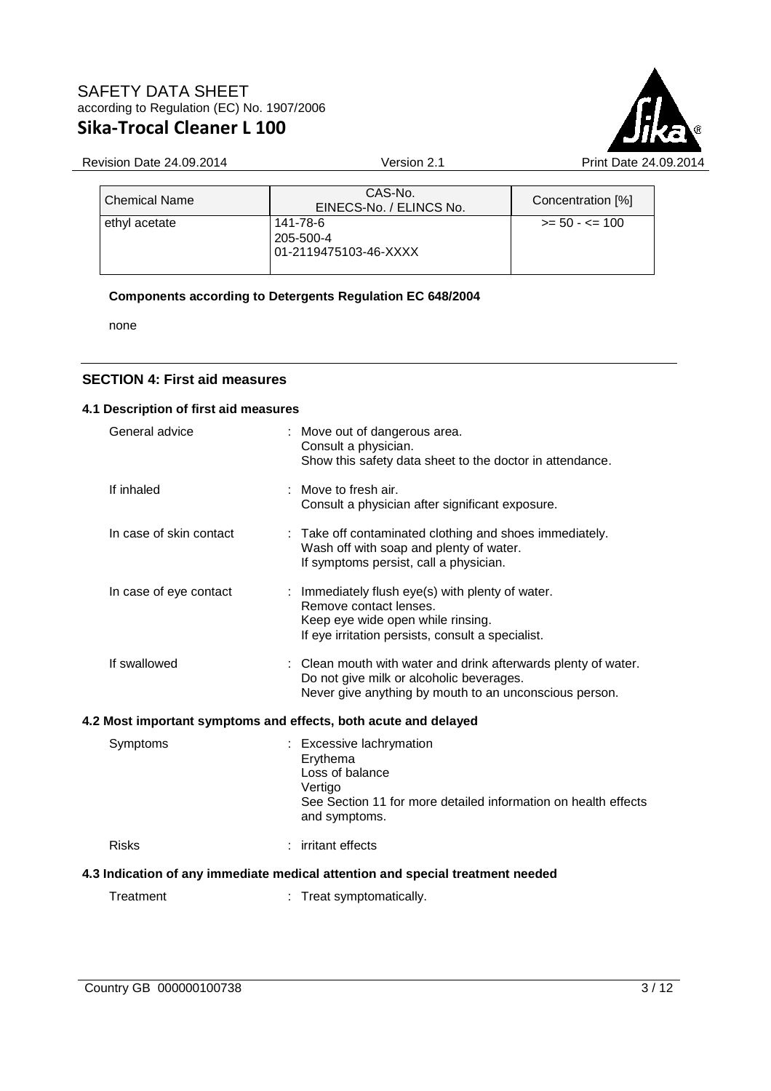

# Revision Date 24.09.2014 Version 2.1 Print Date 24.09.2014

| <b>Chemical Name</b> | CAS-No.<br>EINECS-No. / ELINCS No.             | Concentration [%] |
|----------------------|------------------------------------------------|-------------------|
| ethyl acetate        | 141-78-6<br>205-500-4<br>01-2119475103-46-XXXX | $>= 50 - 5 = 100$ |

# **Components according to Detergents Regulation EC 648/2004**

none

## **SECTION 4: First aid measures**

## **4.1 Description of first aid measures**

| General advice          | : Move out of dangerous area.<br>Consult a physician.<br>Show this safety data sheet to the doctor in attendance.                                                    |
|-------------------------|----------------------------------------------------------------------------------------------------------------------------------------------------------------------|
| If inhaled              | : Move to fresh air.<br>Consult a physician after significant exposure.                                                                                              |
| In case of skin contact | : Take off contaminated clothing and shoes immediately.<br>Wash off with soap and plenty of water.<br>If symptoms persist, call a physician.                         |
| In case of eye contact  | : Immediately flush eye(s) with plenty of water.<br>Remove contact lenses.<br>Keep eye wide open while rinsing.<br>If eye irritation persists, consult a specialist. |
| If swallowed            | : Clean mouth with water and drink afterwards plenty of water.<br>Do not give milk or alcoholic beverages.<br>Never give anything by mouth to an unconscious person. |
|                         | 4.2 Most important symptoms and effects, both acute and delayed                                                                                                      |
| Symptoms                | : Excessive lachrymation<br>Erythema<br>Loss of balance<br>Vertigo<br>See Section 11 for more detailed information on health effects<br>and symptoms.                |
| <b>Risks</b>            | : irritant effects                                                                                                                                                   |
|                         | 4.3 Indication of any immediate medical attention and special treatment needed                                                                                       |
| Treatment               | : Treat symptomatically.                                                                                                                                             |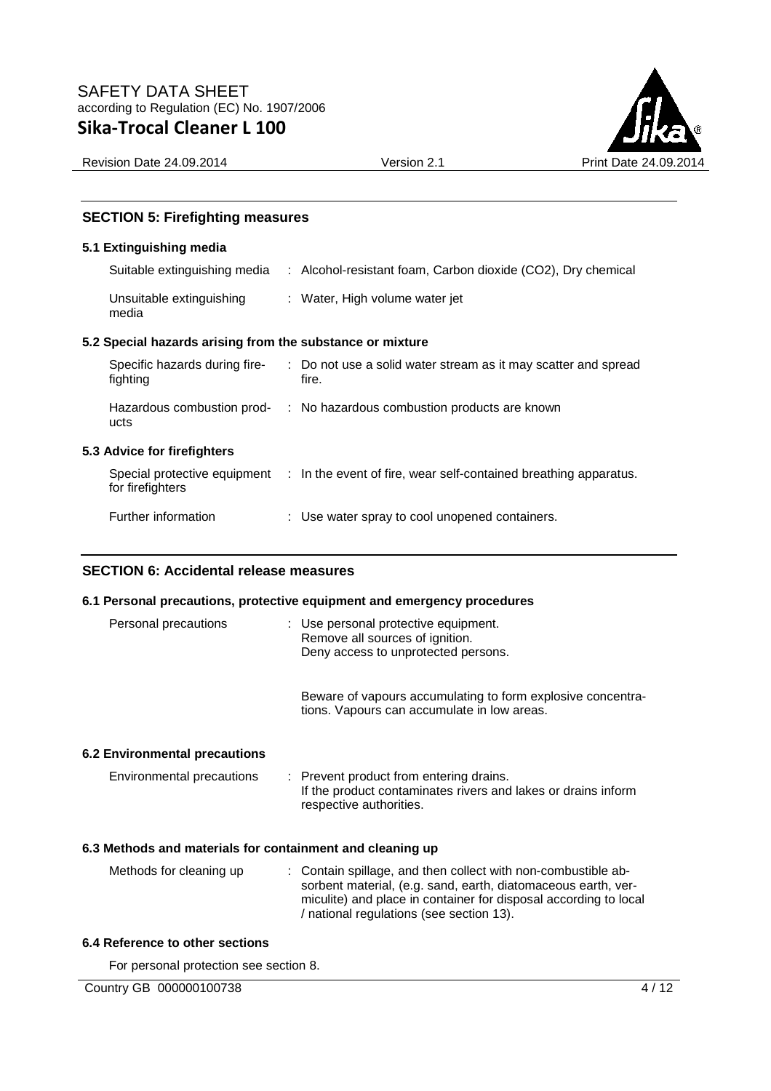

Revision Date 24.09.2014 <br>
Version 2.1 Print Date 24.09.2014

### **SECTION 5: Firefighting measures**

### **5.1 Extinguishing media**

| Suitable extinguishing media      | : Alcohol-resistant foam, Carbon dioxide (CO2), Dry chemical |
|-----------------------------------|--------------------------------------------------------------|
| Unsuitable extinguishing<br>media | : Water, High volume water jet                               |

## **5.2 Special hazards arising from the substance or mixture**

| Specific hazards during fire-<br>fighting        | : Do not use a solid water stream as it may scatter and spread<br>fire. |
|--------------------------------------------------|-------------------------------------------------------------------------|
| Hazardous combustion prod-<br>ucts               | : No hazardous combustion products are known                            |
| 5.3 Advice for firefighters                      |                                                                         |
| Special protective equipment<br>for firefighters | : In the event of fire, wear self-contained breathing apparatus.        |
| Further information                              | : Use water spray to cool unopened containers.                          |

### **SECTION 6: Accidental release measures**

#### **6.1 Personal precautions, protective equipment and emergency procedures**

| Personal precautions          | : Use personal protective equipment.<br>Remove all sources of ignition.<br>Deny access to unprotected persons.                      |
|-------------------------------|-------------------------------------------------------------------------------------------------------------------------------------|
|                               | Beware of vapours accumulating to form explosive concentra-<br>tions. Vapours can accumulate in low areas.                          |
| 6.2 Environmental precautions |                                                                                                                                     |
| Environmental precautions     | : Prevent product from entering drains.<br>If the product contaminates rivers and lakes or drains inform<br>respective authorities. |

## **6.3 Methods and materials for containment and cleaning up**

| : Contain spillage, and then collect with non-combustible ab-    |
|------------------------------------------------------------------|
| sorbent material, (e.g. sand, earth, diatomaceous earth, ver-    |
| miculite) and place in container for disposal according to local |
| / national regulations (see section 13).                         |
|                                                                  |

## **6.4 Reference to other sections**

For personal protection see section 8.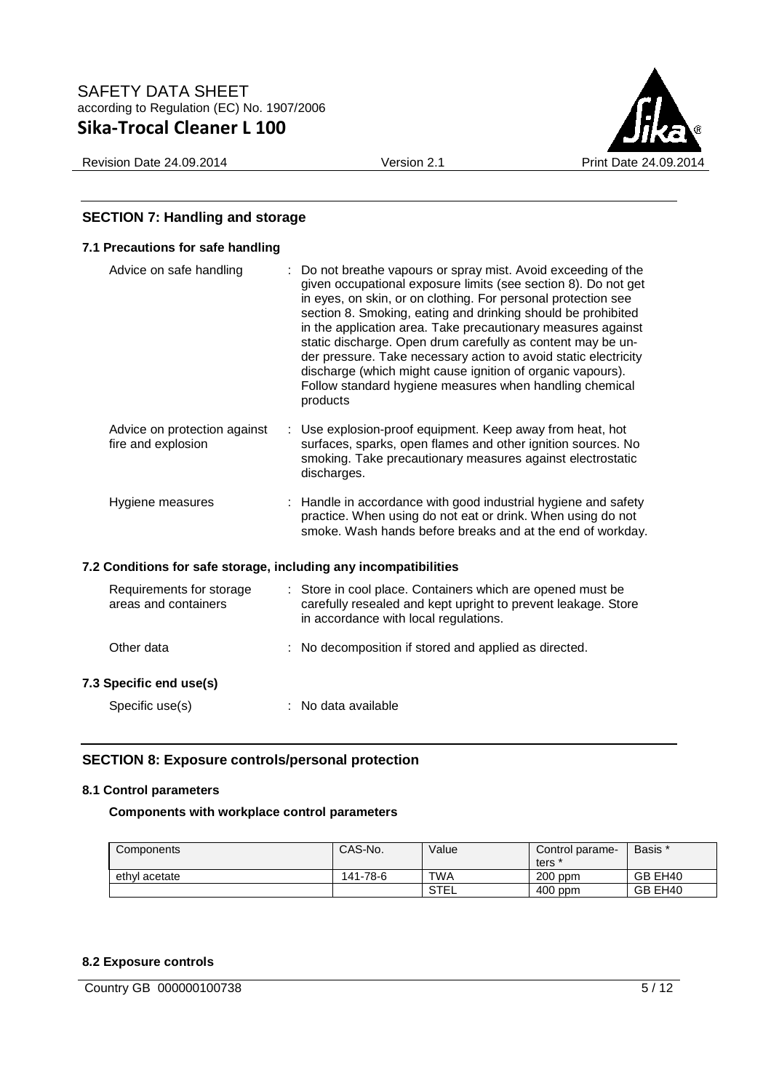Revision Date 24.09.2014 <br>
Version 2.1 Print Date 24.09.2014

# **SECTION 7: Handling and storage**

| 7.1 Precautions for safe handling                                |                                                                                                                                                                                                                                                                                                                                                                                                                                                                                                                                                                                                        |
|------------------------------------------------------------------|--------------------------------------------------------------------------------------------------------------------------------------------------------------------------------------------------------------------------------------------------------------------------------------------------------------------------------------------------------------------------------------------------------------------------------------------------------------------------------------------------------------------------------------------------------------------------------------------------------|
| Advice on safe handling                                          | Do not breathe vapours or spray mist. Avoid exceeding of the<br>given occupational exposure limits (see section 8). Do not get<br>in eyes, on skin, or on clothing. For personal protection see<br>section 8. Smoking, eating and drinking should be prohibited<br>in the application area. Take precautionary measures against<br>static discharge. Open drum carefully as content may be un-<br>der pressure. Take necessary action to avoid static electricity<br>discharge (which might cause ignition of organic vapours).<br>Follow standard hygiene measures when handling chemical<br>products |
| Advice on protection against<br>fire and explosion               | : Use explosion-proof equipment. Keep away from heat, hot<br>surfaces, sparks, open flames and other ignition sources. No<br>smoking. Take precautionary measures against electrostatic<br>discharges.                                                                                                                                                                                                                                                                                                                                                                                                 |
| Hygiene measures                                                 | : Handle in accordance with good industrial hygiene and safety<br>practice. When using do not eat or drink. When using do not<br>smoke. Wash hands before breaks and at the end of workday.                                                                                                                                                                                                                                                                                                                                                                                                            |
| 7.2 Conditions for safe storage, including any incompatibilities |                                                                                                                                                                                                                                                                                                                                                                                                                                                                                                                                                                                                        |
| Requirements for storage<br>areas and containers                 | : Store in cool place. Containers which are opened must be<br>carefully resealed and kept upright to prevent leakage. Store<br>in accordance with local regulations.                                                                                                                                                                                                                                                                                                                                                                                                                                   |
| Other data                                                       | : No decomposition if stored and applied as directed.                                                                                                                                                                                                                                                                                                                                                                                                                                                                                                                                                  |
| 7.3 Specific end use(s)                                          |                                                                                                                                                                                                                                                                                                                                                                                                                                                                                                                                                                                                        |
| Specific use(s)                                                  | No data available                                                                                                                                                                                                                                                                                                                                                                                                                                                                                                                                                                                      |

# **SECTION 8: Exposure controls/personal protection**

## **8.1 Control parameters**

**Components with workplace control parameters** 

| Components    | CAS-No.  | Value       | Control parame-<br>ters | Basis * |
|---------------|----------|-------------|-------------------------|---------|
| ethyl acetate | 141-78-6 | <b>TWA</b>  | $200$ ppm               | GB EH40 |
|               |          | <b>STEL</b> | $400$ ppm               | GB EH40 |

# **8.2 Exposure controls**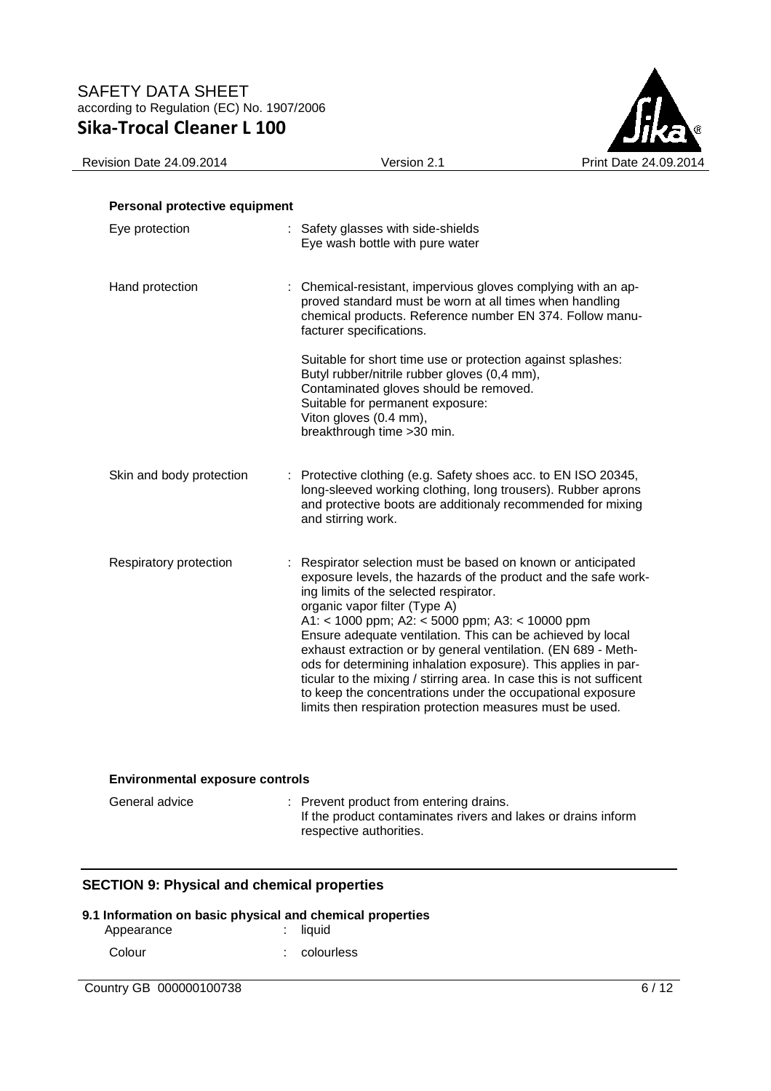

| Sika-Trocal Cleaner L IUU     |                                                                                                                                                                                                                                                                                                                                                                                                                                                                                                                                                                                                                                                                  | JIKa                  |
|-------------------------------|------------------------------------------------------------------------------------------------------------------------------------------------------------------------------------------------------------------------------------------------------------------------------------------------------------------------------------------------------------------------------------------------------------------------------------------------------------------------------------------------------------------------------------------------------------------------------------------------------------------------------------------------------------------|-----------------------|
| Revision Date 24.09.2014      | Version 2.1                                                                                                                                                                                                                                                                                                                                                                                                                                                                                                                                                                                                                                                      | Print Date 24.09.2014 |
| Personal protective equipment |                                                                                                                                                                                                                                                                                                                                                                                                                                                                                                                                                                                                                                                                  |                       |
| Eye protection                | : Safety glasses with side-shields<br>Eye wash bottle with pure water                                                                                                                                                                                                                                                                                                                                                                                                                                                                                                                                                                                            |                       |
| Hand protection               | : Chemical-resistant, impervious gloves complying with an ap-<br>proved standard must be worn at all times when handling<br>chemical products. Reference number EN 374. Follow manu-<br>facturer specifications.                                                                                                                                                                                                                                                                                                                                                                                                                                                 |                       |
|                               | Suitable for short time use or protection against splashes:<br>Butyl rubber/nitrile rubber gloves (0,4 mm),<br>Contaminated gloves should be removed.<br>Suitable for permanent exposure:<br>Viton gloves (0.4 mm),<br>breakthrough time >30 min.                                                                                                                                                                                                                                                                                                                                                                                                                |                       |
| Skin and body protection      | : Protective clothing (e.g. Safety shoes acc. to EN ISO 20345,<br>long-sleeved working clothing, long trousers). Rubber aprons<br>and protective boots are additionaly recommended for mixing<br>and stirring work.                                                                                                                                                                                                                                                                                                                                                                                                                                              |                       |
| Respiratory protection        | : Respirator selection must be based on known or anticipated<br>exposure levels, the hazards of the product and the safe work-<br>ing limits of the selected respirator.<br>organic vapor filter (Type A)<br>A1: < 1000 ppm; A2: < 5000 ppm; A3: < 10000 ppm<br>Ensure adequate ventilation. This can be achieved by local<br>exhaust extraction or by general ventilation. (EN 689 - Meth-<br>ods for determining inhalation exposure). This applies in par-<br>ticular to the mixing / stirring area. In case this is not sufficent<br>to keep the concentrations under the occupational exposure<br>limits then respiration protection measures must be used. |                       |

## **Environmental exposure controls**

| General advice | : Prevent product from entering drains.                       |
|----------------|---------------------------------------------------------------|
|                | If the product contaminates rivers and lakes or drains inform |
|                | respective authorities.                                       |

# **SECTION 9: Physical and chemical properties**

# **9.1 Information on basic physical and chemical properties**

| Appearance | $:$ liquid   |
|------------|--------------|
| Colour     | : colourless |

Country GB 000000100738 6/12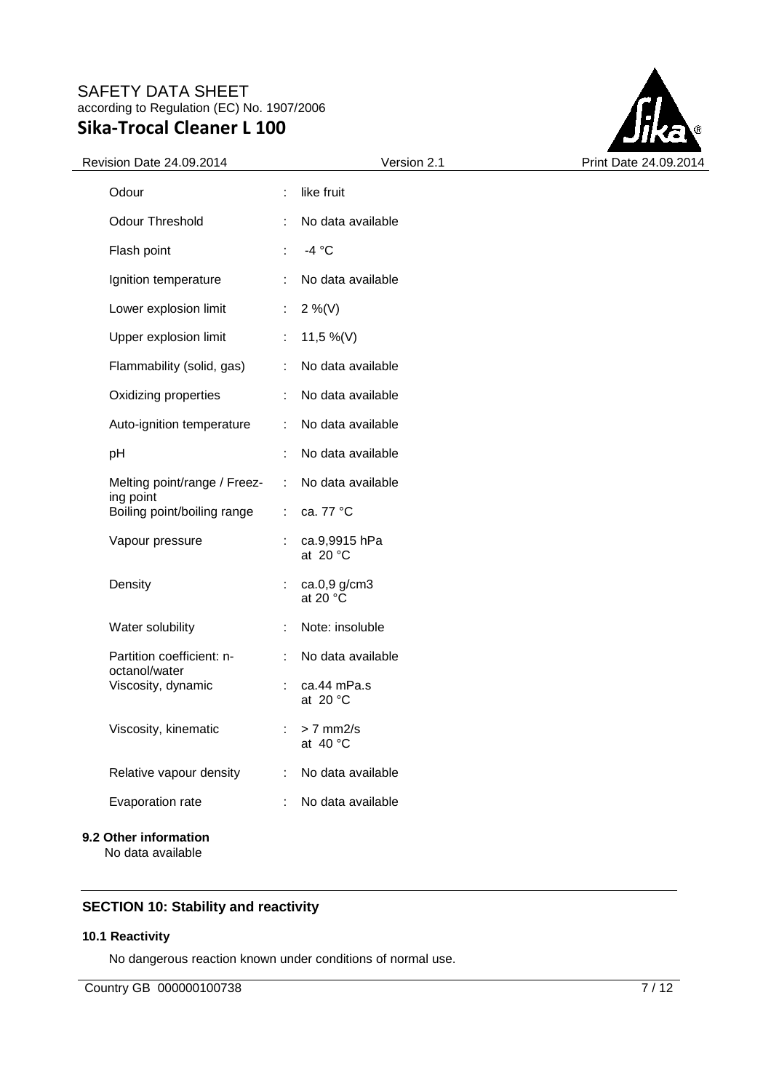

| Revision Date 24.09.2014                   | Version 2.1                           | Print Date 24.09.2014 |
|--------------------------------------------|---------------------------------------|-----------------------|
| Odour                                      | like fruit<br>÷                       |                       |
| Odour Threshold                            | No data available                     |                       |
| Flash point                                | $-4 °C$<br>÷                          |                       |
| Ignition temperature                       | No data available                     |                       |
| Lower explosion limit                      | $2\%$ (V)<br>÷                        |                       |
| Upper explosion limit                      | 11,5 %(V)                             |                       |
| Flammability (solid, gas)                  | No data available<br>÷                |                       |
| Oxidizing properties                       | No data available<br>÷                |                       |
| Auto-ignition temperature                  | No data available<br>÷                |                       |
| pH                                         | No data available                     |                       |
| Melting point/range / Freez-<br>ing point  | No data available<br>$\mathcal{L}$    |                       |
| Boiling point/boiling range                | ca. 77 °C<br>÷.                       |                       |
| Vapour pressure                            | ca.9,9915 hPa<br>at 20 $\degree$ C    |                       |
| Density                                    | ca.0,9 g/cm3<br>at 20 °C              |                       |
| Water solubility                           | Note: insoluble<br>÷                  |                       |
| Partition coefficient: n-<br>octanol/water | No data available                     |                       |
| Viscosity, dynamic                         | ÷<br>ca.44 mPa.s<br>at 20 $\degree$ C |                       |
| Viscosity, kinematic                       | $\therefore$ > 7 mm2/s<br>at 40 °C    |                       |
| Relative vapour density                    | No data available<br>÷                |                       |
| Evaporation rate                           | No data available<br>÷                |                       |
| 9.2 Other information                      |                                       |                       |

No data available

# **SECTION 10: Stability and reactivity**

### **10.1 Reactivity**

No dangerous reaction known under conditions of normal use.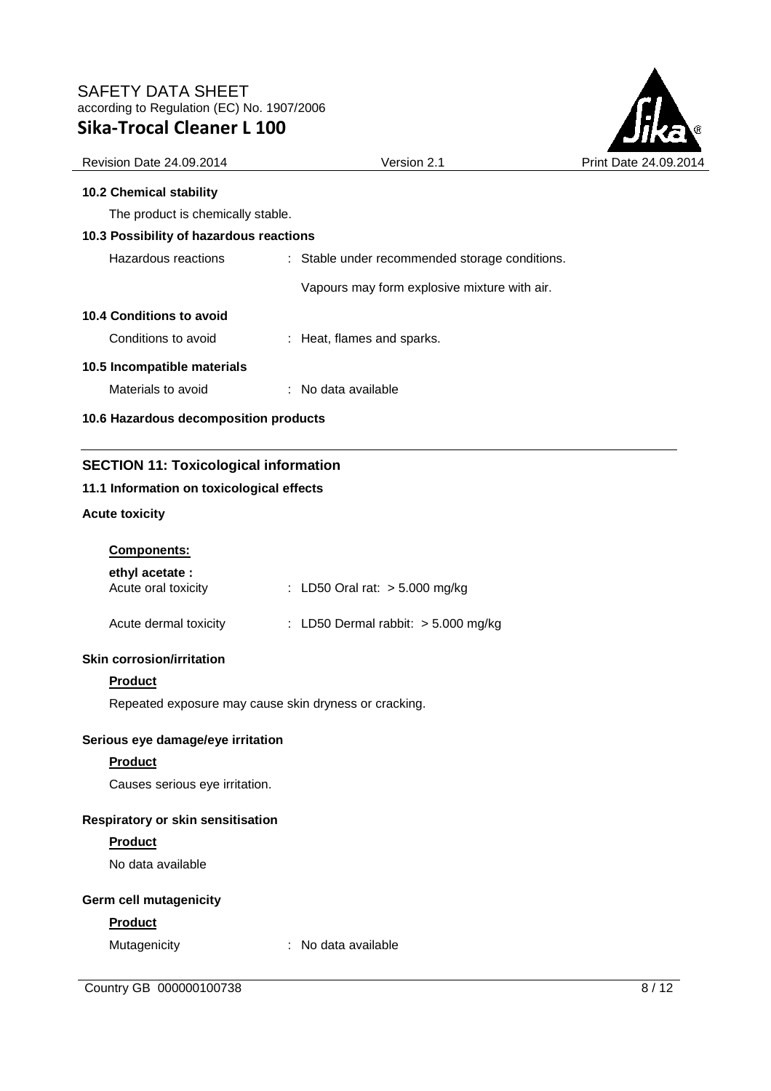

|                                              |                                                | E JI I VEL            |
|----------------------------------------------|------------------------------------------------|-----------------------|
| <b>Revision Date 24.09.2014</b>              | Version 2.1                                    | Print Date 24.09.2014 |
| <b>10.2 Chemical stability</b>               |                                                |                       |
| The product is chemically stable.            |                                                |                       |
| 10.3 Possibility of hazardous reactions      |                                                |                       |
| Hazardous reactions                          | : Stable under recommended storage conditions. |                       |
|                                              | Vapours may form explosive mixture with air.   |                       |
| 10.4 Conditions to avoid                     |                                                |                       |
| Conditions to avoid                          | : Heat, flames and sparks.                     |                       |
| 10.5 Incompatible materials                  |                                                |                       |
| Materials to avoid                           | : No data available                            |                       |
| 10.6 Hazardous decomposition products        |                                                |                       |
| <b>SECTION 11: Toxicological information</b> |                                                |                       |
| 11.1 Information on toxicological effects    |                                                |                       |
| <b>Acute toxicity</b>                        |                                                |                       |

| <b>Components:</b> |
|--------------------|
|                    |

| ethyl acetate :<br>Acute oral toxicity | : LD50 Oral rat: $>$ 5.000 mg/kg      |
|----------------------------------------|---------------------------------------|
| Acute dermal toxicity                  | : LD50 Dermal rabbit: $>$ 5.000 mg/kg |

### **Skin corrosion/irritation**

# **Product**

Repeated exposure may cause skin dryness or cracking.

## **Serious eye damage/eye irritation**

# **Product**

Causes serious eye irritation.

### **Respiratory or skin sensitisation**

## **Product**

No data available

## **Germ cell mutagenicity**

# **Product**

Mutagenicity : No data available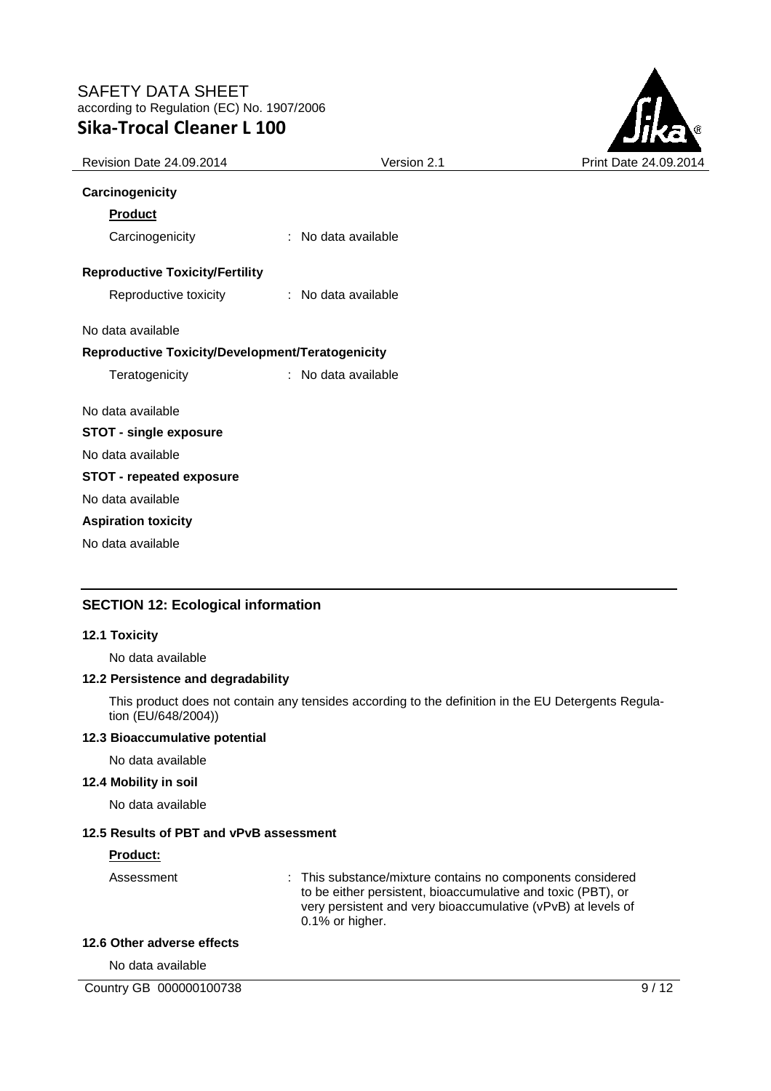

| Revision Date 24.09.2014                         | Version 2.1         | Print Date 24.09.2014 |
|--------------------------------------------------|---------------------|-----------------------|
| Carcinogenicity                                  |                     |                       |
| <b>Product</b>                                   |                     |                       |
| Carcinogenicity                                  | : No data available |                       |
| <b>Reproductive Toxicity/Fertility</b>           |                     |                       |
| Reproductive toxicity                            | : No data available |                       |
| No data available                                |                     |                       |
| Reproductive Toxicity/Development/Teratogenicity |                     |                       |
| Teratogenicity                                   | : No data available |                       |
| No data available                                |                     |                       |
| <b>STOT - single exposure</b>                    |                     |                       |
| No data available                                |                     |                       |
| <b>STOT - repeated exposure</b>                  |                     |                       |
| No data available                                |                     |                       |
| <b>Aspiration toxicity</b>                       |                     |                       |
| No data available                                |                     |                       |
|                                                  |                     |                       |

# **SECTION 12: Ecological information**

#### **12.1 Toxicity**

No data available

### **12.2 Persistence and degradability**

This product does not contain any tensides according to the definition in the EU Detergents Regulation (EU/648/2004))

## **12.3 Bioaccumulative potential**

No data available

#### **12.4 Mobility in soil**

No data available

#### **12.5 Results of PBT and vPvB assessment**

#### **Product:**

Assessment : This substance/mixture contains no components considered to be either persistent, bioaccumulative and toxic (PBT), or very persistent and very bioaccumulative (vPvB) at levels of 0.1% or higher.

## **12.6 Other adverse effects**

No data available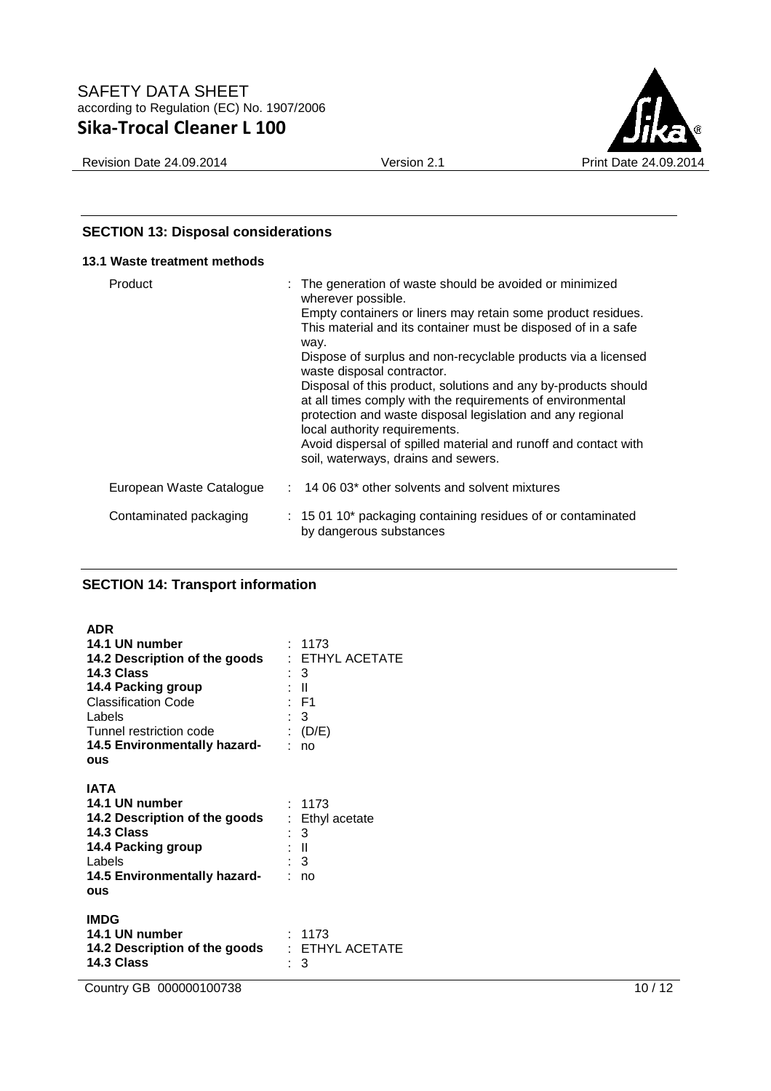Revision Date 24.09.2014 <br>
Version 2.1 Print Date 24.09.2014

# **SECTION 13: Disposal considerations**

### **13.1 Waste treatment methods**

| Product                  | : The generation of waste should be avoided or minimized<br>wherever possible.<br>Empty containers or liners may retain some product residues.<br>This material and its container must be disposed of in a safe<br>way.<br>Dispose of surplus and non-recyclable products via a licensed<br>waste disposal contractor.<br>Disposal of this product, solutions and any by-products should<br>at all times comply with the requirements of environmental<br>protection and waste disposal legislation and any regional<br>local authority requirements.<br>Avoid dispersal of spilled material and runoff and contact with<br>soil, waterways, drains and sewers. |
|--------------------------|-----------------------------------------------------------------------------------------------------------------------------------------------------------------------------------------------------------------------------------------------------------------------------------------------------------------------------------------------------------------------------------------------------------------------------------------------------------------------------------------------------------------------------------------------------------------------------------------------------------------------------------------------------------------|
| European Waste Catalogue | $: 140603*$ other solvents and solvent mixtures                                                                                                                                                                                                                                                                                                                                                                                                                                                                                                                                                                                                                 |
| Contaminated packaging   | : 15 01 10* packaging containing residues of or contaminated<br>by dangerous substances                                                                                                                                                                                                                                                                                                                                                                                                                                                                                                                                                                         |

# **SECTION 14: Transport information**

| <b>ADR</b><br>14.1 UN number<br>14.2 Description of the goods<br>14.3 Class<br>14.4 Packing group<br><b>Classification Code</b><br>Labels<br>Tunnel restriction code<br>14.5 Environmentally hazard-<br><b>OUS</b> | : 1173<br>: ETHYL ACETATE<br>: 3<br>: II<br>$\therefore$ F1<br>$\therefore$ 3<br>: $(D/E)$<br>: no |
|--------------------------------------------------------------------------------------------------------------------------------------------------------------------------------------------------------------------|----------------------------------------------------------------------------------------------------|
| IATA<br>14.1 UN number<br>14.2 Description of the goods<br>14.3 Class<br>14.4 Packing group<br>Labels<br>14.5 Environmentally hazard-<br>ous                                                                       | : 1173<br>: Ethyl acetate<br>: 3<br>: II<br>. 3<br>no                                              |
| <b>IMDG</b><br>14.1 UN number<br>14.2 Description of the goods<br>14.3 Class                                                                                                                                       | : 1173<br>$:$ ETHYL ACETATE<br>3<br>۰.                                                             |

Country GB 000000100738 10 / 12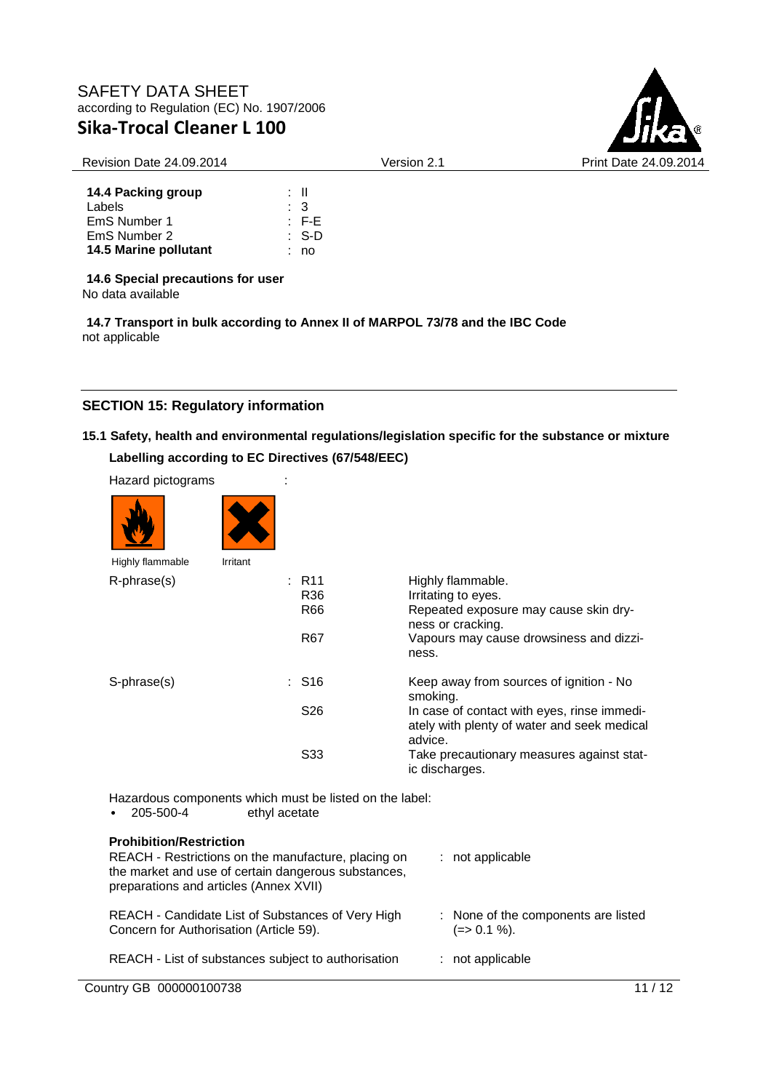

#### Revision Date 24.09.2014 Version 2.1 Print Date 24.09.2014

| 14.4 Packing group    | : II      |             |
|-----------------------|-----------|-------------|
| Labels                | $\cdot$ 3 |             |
| EmS Number 1          |           | $E - F - E$ |
| EmS Number 2          |           | ∴ S-D       |
| 14.5 Marine pollutant |           | no          |

**14.6 Special precautions for user**

No data available

**14.7 Transport in bulk according to Annex II of MARPOL 73/78 and the IBC Code** not applicable

# **SECTION 15: Regulatory information**

# **15.1 Safety, health and environmental regulations/legislation specific for the substance or mixture Labelling according to EC Directives (67/548/EEC)**

| Hazard pictograms |          |                     |                                                                                                        |
|-------------------|----------|---------------------|--------------------------------------------------------------------------------------------------------|
|                   |          |                     |                                                                                                        |
| Highly flammable  | Irritant |                     |                                                                                                        |
| R-phrase(s)       |          | : R11<br>R36<br>R66 | Highly flammable.<br>Irritating to eyes.<br>Repeated exposure may cause skin dry-<br>ness or cracking. |
|                   |          | R67                 | Vapours may cause drowsiness and dizzi-<br>ness.                                                       |
| S-phrase(s)       |          | : S16               | Keep away from sources of ignition - No<br>smoking.                                                    |
|                   |          | S <sub>26</sub>     | In case of contact with eyes, rinse immedi-<br>ately with plenty of water and seek medical<br>advice.  |
|                   |          | S <sub>33</sub>     | Take precautionary measures against stat-<br>ic discharges.                                            |

Hazardous components which must be listed on the label:<br>205 500 4 other other contains  $\sigma$ <sup>thyl acctore</sub></sup>

| $\bullet$ | 205-500- <del>4</del>                      | ethyl acetate |  |
|-----------|--------------------------------------------|---------------|--|
|           | <b>B. L. H. M. L. H. L. L. H. M. L. L.</b> |               |  |

| <b>Prohibition/Restriction</b><br>REACH - Restrictions on the manufacture, placing on<br>the market and use of certain dangerous substances,<br>preparations and articles (Annex XVII) | $:$ not applicable                                  |
|----------------------------------------------------------------------------------------------------------------------------------------------------------------------------------------|-----------------------------------------------------|
| REACH - Candidate List of Substances of Very High<br>Concern for Authorisation (Article 59).                                                                                           | : None of the components are listed<br>$(=>0.1\%).$ |
| REACH - List of substances subject to authorisation                                                                                                                                    | $:$ not applicable                                  |